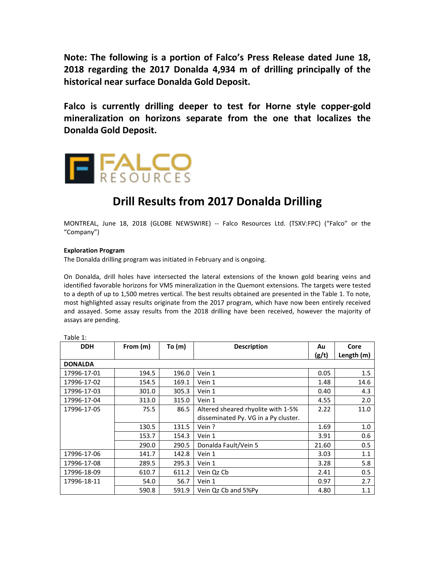**Note: The following is a portion of Falco's Press Release dated June 18, 2018 regarding the 2017 Donalda 4,934 m of drilling principally of the historical near surface Donalda Gold Deposit.** 

**Falco is currently drilling deeper to test for Horne style copper-gold mineralization on horizons separate from the one that localizes the Donalda Gold Deposit.**



# **Drill Results from 2017 Donalda Drilling**

MONTREAL, June 18, 2018 (GLOBE NEWSWIRE) -- Falco Resources Ltd. (TSXV:FPC) ("Falco" or the "Company")

## **Exploration Program**

The Donalda drilling program was initiated in February and is ongoing.

On Donalda, drill holes have intersected the lateral extensions of the known gold bearing veins and identified favorable horizons for VMS mineralization in the Quemont extensions. The targets were tested to a depth of up to 1,500 metres vertical. The best results obtained are presented in the Table 1. To note, most highlighted assay results originate from the 2017 program, which have now been entirely received and assayed. Some assay results from the 2018 drilling have been received, however the majority of assays are pending.

| <b>DDH</b>     | From (m) | To $(m)$ | <b>Description</b>                   | Au    | Core       |
|----------------|----------|----------|--------------------------------------|-------|------------|
|                |          |          |                                      | (g/t) | Length (m) |
| <b>DONALDA</b> |          |          |                                      |       |            |
| 17996-17-01    | 194.5    | 196.0    | Vein 1                               | 0.05  | 1.5        |
| 17996-17-02    | 154.5    | 169.1    | Vein 1                               | 1.48  | 14.6       |
| 17996-17-03    | 301.0    | 305.3    | Vein 1                               | 0.40  | 4.3        |
| 17996-17-04    | 313.0    | 315.0    | Vein 1                               | 4.55  | 2.0        |
| 17996-17-05    | 75.5     | 86.5     | Altered sheared rhyolite with 1-5%   | 2.22  | 11.0       |
|                |          |          | disseminated Py. VG in a Py cluster. |       |            |
|                | 130.5    | 131.5    | Vein?                                | 1.69  | 1.0        |
|                | 153.7    | 154.3    | Vein 1                               | 3.91  | 0.6        |
|                | 290.0    | 290.5    | Donalda Fault/Vein 5                 | 21.60 | 0.5        |
| 17996-17-06    | 141.7    | 142.8    | Vein 1                               | 3.03  | 1.1        |
| 17996-17-08    | 289.5    | 295.3    | Vein 1                               | 3.28  | 5.8        |
| 17996-18-09    | 610.7    | 611.2    | Vein Qz Cb                           | 2.41  | 0.5        |
| 17996-18-11    | 54.0     | 56.7     | Vein 1                               | 0.97  | 2.7        |
|                | 590.8    | 591.9    | Vein Qz Cb and 5%Py                  | 4.80  | 1.1        |

Table 1: